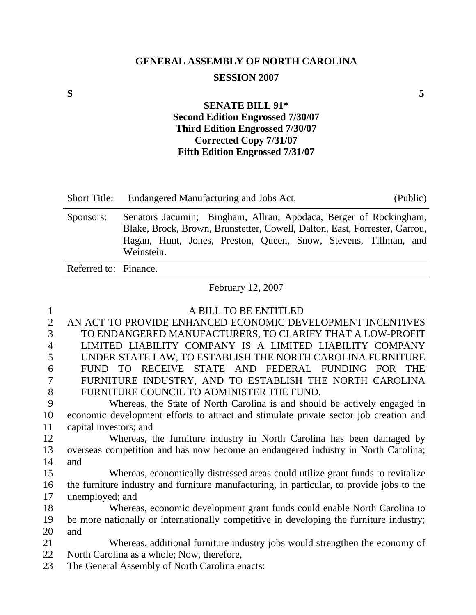# **GENERAL ASSEMBLY OF NORTH CAROLINA SESSION 2007**

### **SENATE BILL 91\* Second Edition Engrossed 7/30/07 Third Edition Engrossed 7/30/07 Corrected Copy 7/31/07 Fifth Edition Engrossed 7/31/07**

| <b>Short Title:</b>   | Endangered Manufacturing and Jobs Act.<br>(Public)                                                                                                                                                                               |
|-----------------------|----------------------------------------------------------------------------------------------------------------------------------------------------------------------------------------------------------------------------------|
| Sponsors:             | Senators Jacumin; Bingham, Allran, Apodaca, Berger of Rockingham,<br>Blake, Brock, Brown, Brunstetter, Cowell, Dalton, East, Forrester, Garrou,<br>Hagan, Hunt, Jones, Preston, Queen, Snow, Stevens, Tillman, and<br>Weinstein. |
| Referred to: Finance. |                                                                                                                                                                                                                                  |

February 12, 2007

| 1              | A BILL TO BE ENTITLED                                                                     |
|----------------|-------------------------------------------------------------------------------------------|
| $\overline{2}$ | AN ACT TO PROVIDE ENHANCED ECONOMIC DEVELOPMENT INCENTIVES                                |
| 3              | TO ENDANGERED MANUFACTURERS, TO CLARIFY THAT A LOW-PROFIT                                 |
| $\overline{4}$ | LIMITED LIABILITY COMPANY IS A LIMITED LIABILITY COMPANY                                  |
| 5              | UNDER STATE LAW, TO ESTABLISH THE NORTH CAROLINA FURNITURE                                |
| 6              | TO RECEIVE STATE AND FEDERAL FUNDING FOR<br><b>THE</b><br>FUND.                           |
| 7              | FURNITURE INDUSTRY, AND TO ESTABLISH THE NORTH CAROLINA                                   |
| 8              | FURNITURE COUNCIL TO ADMINISTER THE FUND.                                                 |
| 9              | Whereas, the State of North Carolina is and should be actively engaged in                 |
| 10             | economic development efforts to attract and stimulate private sector job creation and     |
| 11             | capital investors; and                                                                    |
| 12             | Whereas, the furniture industry in North Carolina has been damaged by                     |
| 13             | overseas competition and has now become an endangered industry in North Carolina;         |
| 14             | and                                                                                       |
| 15             | Whereas, economically distressed areas could utilize grant funds to revitalize            |
| 16             | the furniture industry and furniture manufacturing, in particular, to provide jobs to the |
| 17             | unemployed; and                                                                           |
| 18             | Whereas, economic development grant funds could enable North Carolina to                  |
| 19             | be more nationally or internationally competitive in developing the furniture industry;   |
| 20             | and                                                                                       |
| 21             | Whereas, additional furniture industry jobs would strengthen the economy of               |
| 22             | North Carolina as a whole; Now, therefore,                                                |
| 23             | The General Assembly of North Carolina enacts:                                            |
|                |                                                                                           |

**S 5**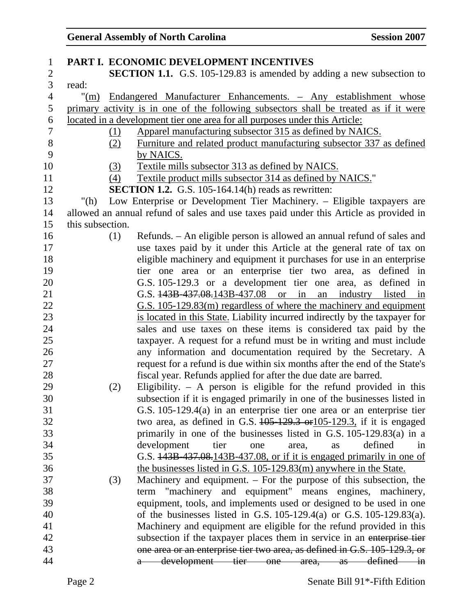| $\mathbf{1}$             |                  |     | PART I. ECONOMIC DEVELOPMENT INCENTIVES                                                   |
|--------------------------|------------------|-----|-------------------------------------------------------------------------------------------|
| $\overline{c}$           |                  |     | <b>SECTION 1.1.</b> G.S. 105-129.83 is amended by adding a new subsection to              |
| 3                        | read:            |     |                                                                                           |
| $\overline{\mathcal{A}}$ |                  |     | "(m) Endangered Manufacturer Enhancements. - Any establishment whose                      |
| 5                        |                  |     | primary activity is in one of the following subsectors shall be treated as if it were     |
| 6                        |                  |     | located in a development tier one area for all purposes under this Article:               |
| $\tau$                   |                  | (1) | Apparel manufacturing subsector 315 as defined by NAICS.                                  |
| $8\,$                    |                  | (2) | Furniture and related product manufacturing subsector 337 as defined                      |
| 9                        |                  |     | by NAICS.                                                                                 |
| 10                       |                  | (3) | Textile mills subsector 313 as defined by NAICS.                                          |
| 11                       |                  | (4) | Textile product mills subsector 314 as defined by NAICS."                                 |
| 12                       |                  |     | <b>SECTION 1.2.</b> G.S. 105-164.14(h) reads as rewritten:                                |
| 13                       | "(h)             |     | Low Enterprise or Development Tier Machinery. - Eligible taxpayers are                    |
| 14                       |                  |     | allowed an annual refund of sales and use taxes paid under this Article as provided in    |
| 15                       | this subsection. |     |                                                                                           |
| 16                       |                  | (1) | Refunds. – An eligible person is allowed an annual refund of sales and                    |
| 17                       |                  |     | use taxes paid by it under this Article at the general rate of tax on                     |
| 18                       |                  |     | eligible machinery and equipment it purchases for use in an enterprise                    |
| 19                       |                  |     | tier one area or an enterprise tier two area, as defined in                               |
| 20                       |                  |     | G.S. 105-129.3 or a development tier one area, as defined in                              |
| 21                       |                  |     | G.S. $\frac{143B}{437.08.143B} - \frac{437.08}{437.08}$ or in<br>an industry listed<br>in |
| 22                       |                  |     | G.S. 105-129.83(m) regardless of where the machinery and equipment                        |
| 23                       |                  |     | is located in this State. Liability incurred indirectly by the taxpayer for               |
| 24                       |                  |     | sales and use taxes on these items is considered tax paid by the                          |
| 25                       |                  |     | taxpayer. A request for a refund must be in writing and must include                      |
| 26                       |                  |     | any information and documentation required by the Secretary. A                            |
| 27                       |                  |     | request for a refund is due within six months after the end of the State's                |
| 28                       |                  |     | fiscal year. Refunds applied for after the due date are barred.                           |
| 29                       |                  | (2) | Eligibility. $-$ A person is eligible for the refund provided in this                     |
| 30                       |                  |     | subsection if it is engaged primarily in one of the businesses listed in                  |
| 31                       |                  |     | G.S. 105-129.4(a) in an enterprise tier one area or an enterprise tier                    |
| 32                       |                  |     | two area, as defined in G.S. $105-129.3$ or $105-129.3$ , if it is engaged                |
| 33                       |                  |     | primarily in one of the businesses listed in G.S. $105-129.83(a)$ in a                    |
| 34                       |                  |     | development<br>defined<br>tier<br>area,<br>one<br>as<br>in                                |
| 35                       |                  |     | G.S. 443B 437.08.143B 437.08, or if it is engaged primarily in one of                     |
| 36                       |                  |     | the businesses listed in G.S. 105-129.83(m) anywhere in the State.                        |
| 37                       |                  | (3) | Machinery and equipment. $-$ For the purpose of this subsection, the                      |
| 38                       |                  |     | term "machinery and equipment" means engines, machinery,                                  |
| 39                       |                  |     | equipment, tools, and implements used or designed to be used in one                       |
| 40                       |                  |     | of the businesses listed in G.S. $105-129.4(a)$ or G.S. $105-129.83(a)$ .                 |
| 41                       |                  |     | Machinery and equipment are eligible for the refund provided in this                      |
| 42                       |                  |     | subsection if the taxpayer places them in service in an enterprise tier                   |
| 43                       |                  |     | one area or an enterprise tier two area, as defined in G.S. 105-129.3, or                 |
| 44                       |                  |     | development tier one area,<br>defined -<br>$-$ as<br>$\frac{1}{4}$                        |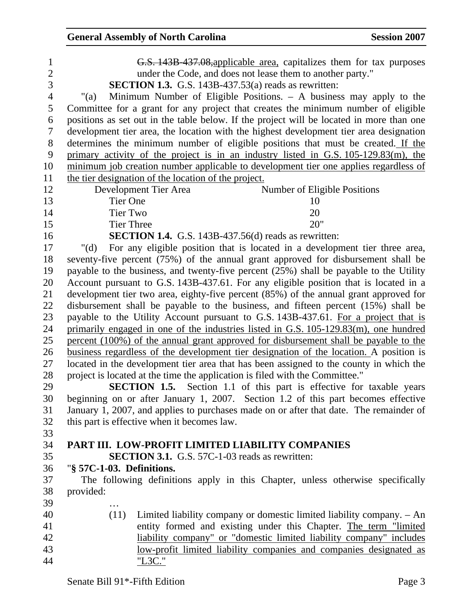| 1              | G.S. 143B 437.08, applicable area, capitalizes them for tax purposes                     |
|----------------|------------------------------------------------------------------------------------------|
| $\overline{c}$ | under the Code, and does not lease them to another party."                               |
| $\overline{3}$ | SECTION 1.3. G.S. 143B-437.53(a) reads as rewritten:                                     |
| $\overline{4}$ | Minimum Number of Eligible Positions. – A business may apply to the<br>" $(a)$           |
| 5              | Committee for a grant for any project that creates the minimum number of eligible        |
| 6              | positions as set out in the table below. If the project will be located in more than one |
| 7              | development tier area, the location with the highest development tier area designation   |
| $8\,$          | determines the minimum number of eligible positions that must be created. If the         |
| 9              | primary activity of the project is in an industry listed in G.S. 105-129.83(m), the      |
| 10             | minimum job creation number applicable to development tier one applies regardless of     |
| 11             | the tier designation of the location of the project.                                     |
| 12             | Development Tier Area<br>Number of Eligible Positions                                    |
| 13             | <b>Tier One</b><br>10                                                                    |
| 14             | 20<br><b>Tier Two</b>                                                                    |
| 15             | 20"<br><b>Tier Three</b>                                                                 |
| 16             | <b>SECTION 1.4.</b> G.S. 143B-437.56(d) reads as rewritten:                              |
| 17             | For any eligible position that is located in a development tier three area,<br>" $(d)$   |
| 18             | seventy-five percent (75%) of the annual grant approved for disbursement shall be        |
| 19             | payable to the business, and twenty-five percent $(25%)$ shall be payable to the Utility |
| 20             | Account pursuant to G.S. 143B-437.61. For any eligible position that is located in a     |
| 21             | development tier two area, eighty-five percent (85%) of the annual grant approved for    |
| 22             | disbursement shall be payable to the business, and fifteen percent (15%) shall be        |
| 23             | payable to the Utility Account pursuant to G.S. 143B-437.61. For a project that is       |
| 24             | primarily engaged in one of the industries listed in G.S. 105-129.83(m), one hundred     |
| 25             | percent (100%) of the annual grant approved for disbursement shall be payable to the     |
| 26             | business regardless of the development tier designation of the location. A position is   |
| 27             | located in the development tier area that has been assigned to the county in which the   |
| 28             | project is located at the time the application is filed with the Committee."             |
| 29             | <b>SECTION 1.5.</b> Section 1.1 of this part is effective for taxable years              |
| 30             | beginning on or after January 1, 2007. Section 1.2 of this part becomes effective        |
| 31             | January 1, 2007, and applies to purchases made on or after that date. The remainder of   |
| 32             | this part is effective when it becomes law.                                              |
| 33             |                                                                                          |
| 34             | PART III. LOW-PROFIT LIMITED LIABILITY COMPANIES                                         |
| 35             | <b>SECTION 3.1.</b> G.S. 57C-1-03 reads as rewritten:                                    |
| 36             | "§ 57C-1-03. Definitions.                                                                |
| 37             | The following definitions apply in this Chapter, unless otherwise specifically           |
| 38             | provided:                                                                                |
| 39             |                                                                                          |
| 40             | (11)<br>Limited liability company or domestic limited liability company. - An            |
| 41             | entity formed and existing under this Chapter. The term "limited                         |
| 42             | liability company" or "domestic limited liability company" includes                      |
| 43             | low-profit limited liability companies and companies designated as                       |
| 44             | "L3C."                                                                                   |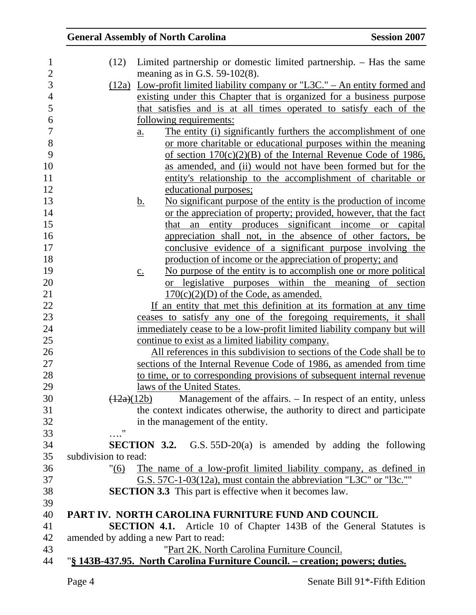| 1              | (12)                 | Limited partnership or domestic limited partnership. - Has the same                  |
|----------------|----------------------|--------------------------------------------------------------------------------------|
| $\mathbf{2}$   |                      | meaning as in G.S. $59-102(8)$ .                                                     |
| 3              |                      | $(12a)$ Low-profit limited liability company or "L3C." – An entity formed and        |
| $\overline{4}$ |                      | existing under this Chapter that is organized for a business purpose                 |
| 5              |                      | that satisfies and is at all times operated to satisfy each of the                   |
| 6              |                      | <u>following requirements:</u>                                                       |
| $\overline{7}$ |                      | The entity (i) significantly furthers the accomplishment of one<br>$\underline{a}$ . |
| 8              |                      | or more charitable or educational purposes within the meaning                        |
| 9              |                      | of section $170(c)(2)(B)$ of the Internal Revenue Code of 1986,                      |
| 10             |                      | as amended, and (ii) would not have been formed but for the                          |
| 11             |                      | entity's relationship to the accomplishment of charitable or                         |
| 12             |                      | educational purposes;                                                                |
| 13             |                      | No significant purpose of the entity is the production of income<br><u>b.</u>        |
| 14             |                      | or the appreciation of property; provided, however, that the fact                    |
| 15             |                      | entity produces significant income or capital<br>that<br>an                          |
| 16             |                      | appreciation shall not, in the absence of other factors, be                          |
| 17             |                      | conclusive evidence of a significant purpose involving the                           |
| 18             |                      | production of income or the appreciation of property; and                            |
| 19             |                      | No purpose of the entity is to accomplish one or more political<br>$\underline{c}$ . |
| 20             |                      | or legislative purposes within the meaning of section                                |
| 21             |                      | $170(c)(2)(D)$ of the Code, as amended.                                              |
| 22             |                      | If an entity that met this definition at its formation at any time                   |
| 23             |                      | ceases to satisfy any one of the foregoing requirements, it shall                    |
| 24             |                      | immediately cease to be a low-profit limited liability company but will              |
| 25             |                      | continue to exist as a limited liability company.                                    |
| 26             |                      | All references in this subdivision to sections of the Code shall be to               |
| 27             |                      | sections of the Internal Revenue Code of 1986, as amended from time                  |
| 28             |                      | to time, or to corresponding provisions of subsequent internal revenue               |
| 29             |                      | laws of the United States.                                                           |
| 30             |                      | Management of the affairs. – In respect of an entity, unless<br>(12a)(12b)           |
| 31             |                      | the context indicates otherwise, the authority to direct and participate             |
| 32             |                      | in the management of the entity.                                                     |
| 33             | $^{\prime\prime}$    |                                                                                      |
| 34             |                      | <b>SECTION 3.2.</b> G.S. $55D-20(a)$ is amended by adding the following              |
| 35             | subdivision to read: |                                                                                      |
| 36             | "(6)                 | The name of a low-profit limited liability company, as defined in                    |
| 37             |                      | G.S. 57C-1-03(12a), must contain the abbreviation "L3C" or "l3c.""                   |
| 38             |                      | <b>SECTION 3.3</b> This part is effective when it becomes law.                       |
| 39             |                      |                                                                                      |
| 40             |                      | PART IV. NORTH CAROLINA FURNITURE FUND AND COUNCIL                                   |
| 41             |                      | <b>SECTION 4.1.</b> Article 10 of Chapter 143B of the General Statutes is            |
| 42             |                      | amended by adding a new Part to read:                                                |
| 43             |                      | "Part 2K. North Carolina Furniture Council.                                          |
| 44             |                      | "§ 143B-437.95. North Carolina Furniture Council. – creation; powers; duties.        |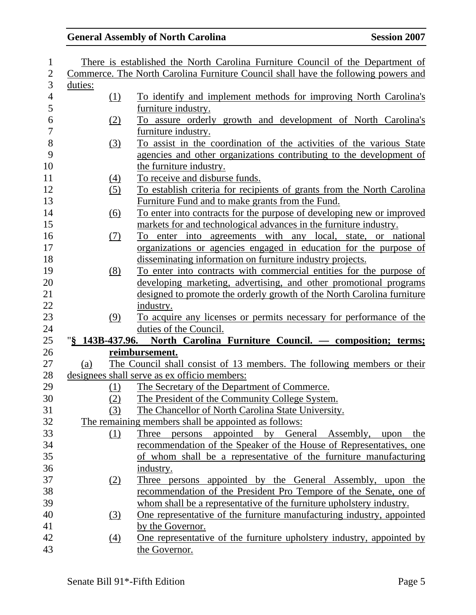| 1                        |         |                  | There is established the North Carolina Furniture Council of the Department of     |
|--------------------------|---------|------------------|------------------------------------------------------------------------------------|
| $\overline{2}$           |         |                  | Commerce. The North Carolina Furniture Council shall have the following powers and |
| 3                        | duties: |                  |                                                                                    |
| $\overline{\mathcal{A}}$ |         | <u>(1)</u>       | To identify and implement methods for improving North Carolina's                   |
| 5                        |         |                  | furniture industry.                                                                |
| 6                        |         | (2)              | To assure orderly growth and development of North Carolina's                       |
| $\overline{7}$           |         |                  | furniture industry.                                                                |
| 8                        |         | (3)              | To assist in the coordination of the activities of the various State               |
| 9                        |         |                  | agencies and other organizations contributing to the development of                |
| 10                       |         |                  | the furniture industry.                                                            |
| 11                       |         | $\left(4\right)$ | To receive and disburse funds.                                                     |
| 12                       |         | (5)              | To establish criteria for recipients of grants from the North Carolina             |
| 13                       |         |                  | Furniture Fund and to make grants from the Fund.                                   |
| 14                       |         | (6)              | To enter into contracts for the purpose of developing new or improved              |
| 15                       |         |                  | markets for and technological advances in the furniture industry.                  |
| 16                       |         | (7)              | To enter into agreements with any local, state, or national                        |
| 17                       |         |                  | organizations or agencies engaged in education for the purpose of                  |
| 18                       |         |                  | disseminating information on furniture industry projects.                          |
| 19                       |         | (8)              | To enter into contracts with commercial entities for the purpose of                |
| 20                       |         |                  | developing marketing, advertising, and other promotional programs                  |
| 21                       |         |                  | designed to promote the orderly growth of the North Carolina furniture             |
| 22                       |         |                  | industry.                                                                          |
| 23                       |         | (9)              | To acquire any licenses or permits necessary for performance of the                |
| 24                       |         |                  | duties of the Council.                                                             |
| 25                       |         |                  | "§ 143B-437.96. North Carolina Furniture Council. — composition; terms;            |
| 26                       |         |                  | reimbursement.                                                                     |
| 27                       | (a)     |                  | The Council shall consist of 13 members. The following members or their            |
| 28                       |         |                  | designees shall serve as ex officio members:                                       |
| 29                       |         | (1)              | The Secretary of the Department of Commerce.                                       |
| 30                       |         | (2)              | The President of the Community College System.                                     |
| 31                       |         | (3)              | The Chancellor of North Carolina State University.                                 |
| 32                       |         |                  | The remaining members shall be appointed as follows:                               |
| 33                       |         | <u>(1)</u>       | persons appointed by General Assembly, upon<br>Three<br>the                        |
| 34                       |         |                  | recommendation of the Speaker of the House of Representatives, one                 |
| 35                       |         |                  | of whom shall be a representative of the furniture manufacturing                   |
| 36                       |         |                  | industry.                                                                          |
| 37                       |         | <u>(2)</u>       | Three persons appointed by the General Assembly, upon the                          |
| 38                       |         |                  | recommendation of the President Pro Tempore of the Senate, one of                  |
| 39                       |         |                  | whom shall be a representative of the furniture upholstery industry.               |
| 40                       |         | (3)              | One representative of the furniture manufacturing industry, appointed              |
| 41                       |         |                  | by the Governor.                                                                   |
| 42                       |         | (4)              | One representative of the furniture upholstery industry, appointed by              |
| 43                       |         |                  | the Governor.                                                                      |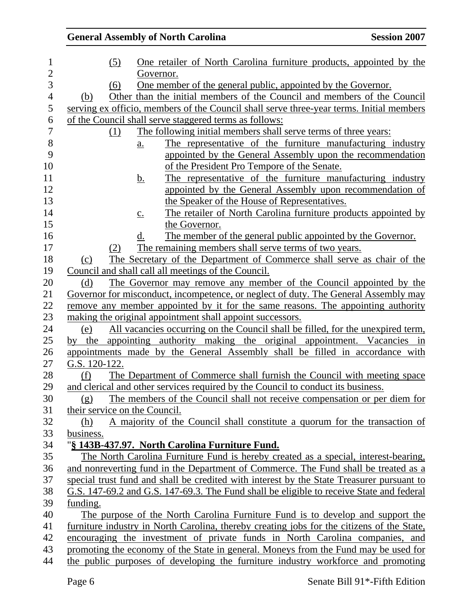| <u>One retailer of North Carolina furniture products, appointed by the</u><br>(5)<br>Governor.<br><u>One member of the general public, appointed by the Governor.</u><br>(6)<br>Other than the initial members of the Council and members of the Council<br>(b)<br>serving ex officio, members of the Council shall serve three-year terms. Initial members<br>of the Council shall serve staggered terms as follows:<br>The following initial members shall serve terms of three years:<br>(1)<br>The representative of the furniture manufacturing industry<br>a.<br>appointed by the General Assembly upon the recommendation<br>of the President Pro Tempore of the Senate.<br>The representative of the furniture manufacturing industry<br><u>b.</u><br>appointed by the General Assembly upon recommendation of<br>the Speaker of the House of Representatives.<br>The retailer of North Carolina furniture products appointed by<br>$\underline{c}$ . |  |
|---------------------------------------------------------------------------------------------------------------------------------------------------------------------------------------------------------------------------------------------------------------------------------------------------------------------------------------------------------------------------------------------------------------------------------------------------------------------------------------------------------------------------------------------------------------------------------------------------------------------------------------------------------------------------------------------------------------------------------------------------------------------------------------------------------------------------------------------------------------------------------------------------------------------------------------------------------------|--|
|                                                                                                                                                                                                                                                                                                                                                                                                                                                                                                                                                                                                                                                                                                                                                                                                                                                                                                                                                               |  |
|                                                                                                                                                                                                                                                                                                                                                                                                                                                                                                                                                                                                                                                                                                                                                                                                                                                                                                                                                               |  |
|                                                                                                                                                                                                                                                                                                                                                                                                                                                                                                                                                                                                                                                                                                                                                                                                                                                                                                                                                               |  |
|                                                                                                                                                                                                                                                                                                                                                                                                                                                                                                                                                                                                                                                                                                                                                                                                                                                                                                                                                               |  |
|                                                                                                                                                                                                                                                                                                                                                                                                                                                                                                                                                                                                                                                                                                                                                                                                                                                                                                                                                               |  |
|                                                                                                                                                                                                                                                                                                                                                                                                                                                                                                                                                                                                                                                                                                                                                                                                                                                                                                                                                               |  |
|                                                                                                                                                                                                                                                                                                                                                                                                                                                                                                                                                                                                                                                                                                                                                                                                                                                                                                                                                               |  |
|                                                                                                                                                                                                                                                                                                                                                                                                                                                                                                                                                                                                                                                                                                                                                                                                                                                                                                                                                               |  |
|                                                                                                                                                                                                                                                                                                                                                                                                                                                                                                                                                                                                                                                                                                                                                                                                                                                                                                                                                               |  |
|                                                                                                                                                                                                                                                                                                                                                                                                                                                                                                                                                                                                                                                                                                                                                                                                                                                                                                                                                               |  |
|                                                                                                                                                                                                                                                                                                                                                                                                                                                                                                                                                                                                                                                                                                                                                                                                                                                                                                                                                               |  |
|                                                                                                                                                                                                                                                                                                                                                                                                                                                                                                                                                                                                                                                                                                                                                                                                                                                                                                                                                               |  |
|                                                                                                                                                                                                                                                                                                                                                                                                                                                                                                                                                                                                                                                                                                                                                                                                                                                                                                                                                               |  |
|                                                                                                                                                                                                                                                                                                                                                                                                                                                                                                                                                                                                                                                                                                                                                                                                                                                                                                                                                               |  |
| the Governor.                                                                                                                                                                                                                                                                                                                                                                                                                                                                                                                                                                                                                                                                                                                                                                                                                                                                                                                                                 |  |
| The member of the general public appointed by the Governor.<br>d.                                                                                                                                                                                                                                                                                                                                                                                                                                                                                                                                                                                                                                                                                                                                                                                                                                                                                             |  |
| The remaining members shall serve terms of two years.<br>(2)                                                                                                                                                                                                                                                                                                                                                                                                                                                                                                                                                                                                                                                                                                                                                                                                                                                                                                  |  |
| The Secretary of the Department of Commerce shall serve as chair of the<br>(c)                                                                                                                                                                                                                                                                                                                                                                                                                                                                                                                                                                                                                                                                                                                                                                                                                                                                                |  |
| Council and shall call all meetings of the Council.                                                                                                                                                                                                                                                                                                                                                                                                                                                                                                                                                                                                                                                                                                                                                                                                                                                                                                           |  |
| The Governor may remove any member of the Council appointed by the<br>(d)                                                                                                                                                                                                                                                                                                                                                                                                                                                                                                                                                                                                                                                                                                                                                                                                                                                                                     |  |
| Governor for misconduct, incompetence, or neglect of duty. The General Assembly may                                                                                                                                                                                                                                                                                                                                                                                                                                                                                                                                                                                                                                                                                                                                                                                                                                                                           |  |
| remove any member appointed by it for the same reasons. The appointing authority                                                                                                                                                                                                                                                                                                                                                                                                                                                                                                                                                                                                                                                                                                                                                                                                                                                                              |  |
| making the original appointment shall appoint successors.                                                                                                                                                                                                                                                                                                                                                                                                                                                                                                                                                                                                                                                                                                                                                                                                                                                                                                     |  |
| All vacancies occurring on the Council shall be filled, for the unexpired term,<br>(e)                                                                                                                                                                                                                                                                                                                                                                                                                                                                                                                                                                                                                                                                                                                                                                                                                                                                        |  |
| appointing authority making the original appointment. Vacancies in<br>by the                                                                                                                                                                                                                                                                                                                                                                                                                                                                                                                                                                                                                                                                                                                                                                                                                                                                                  |  |
| appointments made by the General Assembly shall be filled in accordance with                                                                                                                                                                                                                                                                                                                                                                                                                                                                                                                                                                                                                                                                                                                                                                                                                                                                                  |  |
| G.S. 120-122.                                                                                                                                                                                                                                                                                                                                                                                                                                                                                                                                                                                                                                                                                                                                                                                                                                                                                                                                                 |  |
| The Department of Commerce shall furnish the Council with meeting space<br>(f)                                                                                                                                                                                                                                                                                                                                                                                                                                                                                                                                                                                                                                                                                                                                                                                                                                                                                |  |
| and clerical and other services required by the Council to conduct its business.                                                                                                                                                                                                                                                                                                                                                                                                                                                                                                                                                                                                                                                                                                                                                                                                                                                                              |  |
| The members of the Council shall not receive compensation or per diem for<br>(g)<br>their service on the Council.                                                                                                                                                                                                                                                                                                                                                                                                                                                                                                                                                                                                                                                                                                                                                                                                                                             |  |
| A majority of the Council shall constitute a quorum for the transaction of                                                                                                                                                                                                                                                                                                                                                                                                                                                                                                                                                                                                                                                                                                                                                                                                                                                                                    |  |
| (h)                                                                                                                                                                                                                                                                                                                                                                                                                                                                                                                                                                                                                                                                                                                                                                                                                                                                                                                                                           |  |
| business.<br>"§ 143B-437.97. North Carolina Furniture Fund.                                                                                                                                                                                                                                                                                                                                                                                                                                                                                                                                                                                                                                                                                                                                                                                                                                                                                                   |  |
| The North Carolina Furniture Fund is hereby created as a special, interest-bearing,                                                                                                                                                                                                                                                                                                                                                                                                                                                                                                                                                                                                                                                                                                                                                                                                                                                                           |  |
| and nonreverting fund in the Department of Commerce. The Fund shall be treated as a                                                                                                                                                                                                                                                                                                                                                                                                                                                                                                                                                                                                                                                                                                                                                                                                                                                                           |  |
| special trust fund and shall be credited with interest by the State Treasurer pursuant to                                                                                                                                                                                                                                                                                                                                                                                                                                                                                                                                                                                                                                                                                                                                                                                                                                                                     |  |
| G.S. 147-69.2 and G.S. 147-69.3. The Fund shall be eligible to receive State and federal                                                                                                                                                                                                                                                                                                                                                                                                                                                                                                                                                                                                                                                                                                                                                                                                                                                                      |  |
| funding.                                                                                                                                                                                                                                                                                                                                                                                                                                                                                                                                                                                                                                                                                                                                                                                                                                                                                                                                                      |  |
| The purpose of the North Carolina Furniture Fund is to develop and support the                                                                                                                                                                                                                                                                                                                                                                                                                                                                                                                                                                                                                                                                                                                                                                                                                                                                                |  |
| furniture industry in North Carolina, thereby creating jobs for the citizens of the State,                                                                                                                                                                                                                                                                                                                                                                                                                                                                                                                                                                                                                                                                                                                                                                                                                                                                    |  |
| encouraging the investment of private funds in North Carolina companies, and                                                                                                                                                                                                                                                                                                                                                                                                                                                                                                                                                                                                                                                                                                                                                                                                                                                                                  |  |
| promoting the economy of the State in general. Moneys from the Fund may be used for                                                                                                                                                                                                                                                                                                                                                                                                                                                                                                                                                                                                                                                                                                                                                                                                                                                                           |  |
| the public purposes of developing the furniture industry workforce and promoting                                                                                                                                                                                                                                                                                                                                                                                                                                                                                                                                                                                                                                                                                                                                                                                                                                                                              |  |